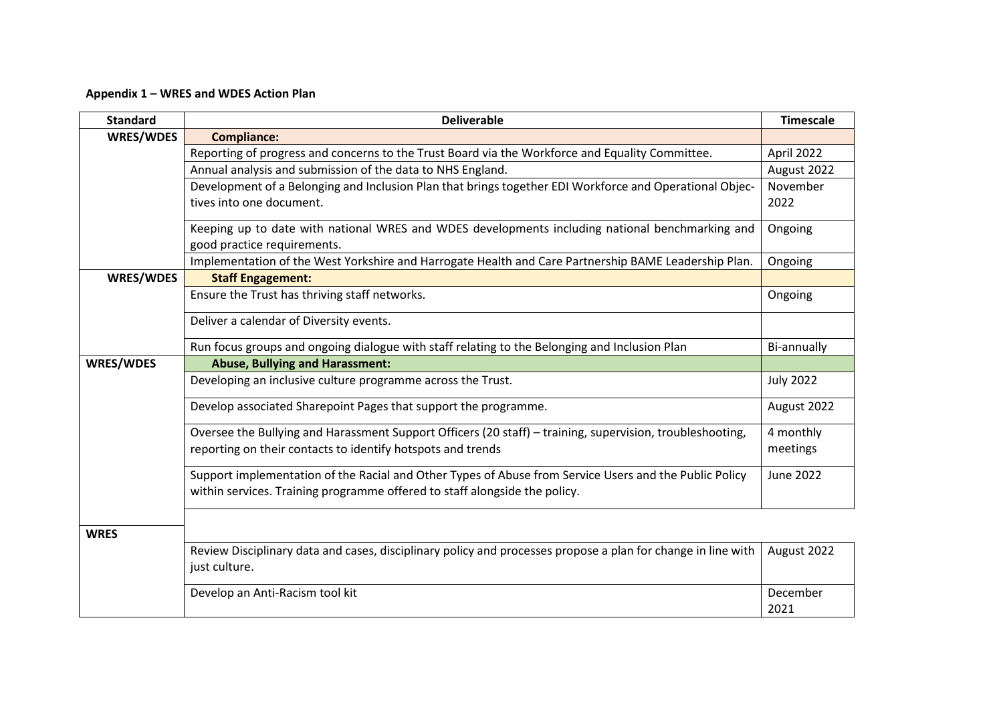## **Appendix 1 – WRES and WDES Action Plan**

| <b>Standard</b>  | <b>Deliverable</b>                                                                                           | <b>Timescale</b> |
|------------------|--------------------------------------------------------------------------------------------------------------|------------------|
| WRES/WDES        | <b>Compliance:</b>                                                                                           |                  |
|                  | Reporting of progress and concerns to the Trust Board via the Workforce and Equality Committee.              | April 2022       |
|                  | Annual analysis and submission of the data to NHS England.                                                   | August 2022      |
|                  | Development of a Belonging and Inclusion Plan that brings together EDI Workforce and Operational Objec-      | November         |
|                  | tives into one document.                                                                                     | 2022             |
|                  | Keeping up to date with national WRES and WDES developments including national benchmarking and              | Ongoing          |
|                  | good practice requirements.                                                                                  |                  |
|                  | Implementation of the West Yorkshire and Harrogate Health and Care Partnership BAME Leadership Plan.         | Ongoing          |
| WRES/WDES        | <b>Staff Engagement:</b>                                                                                     |                  |
|                  | Ensure the Trust has thriving staff networks.                                                                | Ongoing          |
|                  | Deliver a calendar of Diversity events.                                                                      |                  |
|                  | Run focus groups and ongoing dialogue with staff relating to the Belonging and Inclusion Plan                | Bi-annually      |
| <b>WRES/WDES</b> | <b>Abuse, Bullying and Harassment:</b>                                                                       |                  |
|                  | Developing an inclusive culture programme across the Trust.                                                  | <b>July 2022</b> |
|                  | Develop associated Sharepoint Pages that support the programme.                                              | August 2022      |
|                  | Oversee the Bullying and Harassment Support Officers (20 staff) – training, supervision, troubleshooting,    | 4 monthly        |
|                  | reporting on their contacts to identify hotspots and trends                                                  | meetings         |
|                  | Support implementation of the Racial and Other Types of Abuse from Service Users and the Public Policy       | <b>June 2022</b> |
|                  | within services. Training programme offered to staff alongside the policy.                                   |                  |
| <b>WRES</b>      |                                                                                                              |                  |
|                  | Review Disciplinary data and cases, disciplinary policy and processes propose a plan for change in line with | August 2022      |
|                  | just culture.                                                                                                |                  |
|                  | Develop an Anti-Racism tool kit                                                                              | December<br>2021 |
|                  |                                                                                                              |                  |